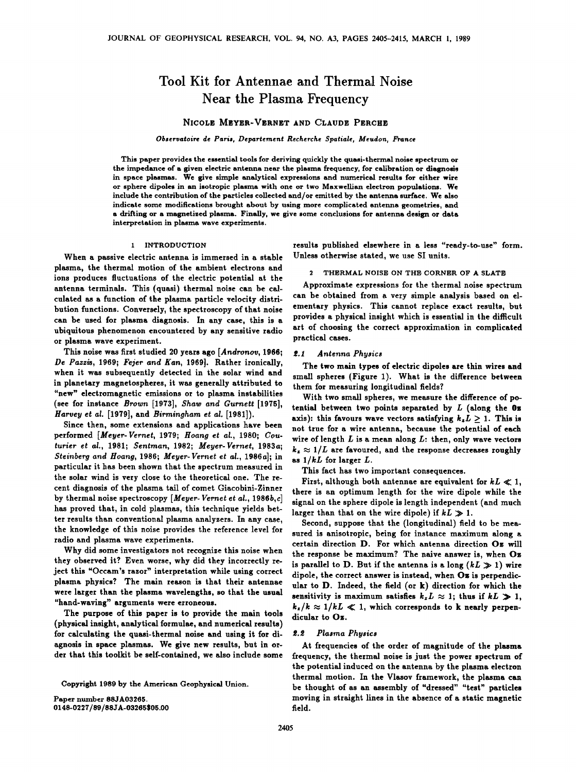# **Tool Kit for Antennae and Thermal Noise**  Near the Plasma Frequency

# **NICOLE MEYER-VERNET AND CLAUDE PERCHE**

Observatoire de Paris, Departement Recherche Spatiale, Meudon, France

**This paper provides the essential tools for deriving quickly the quasi-thermal noise spectrum or the impedance of a given electric antenna near the plasma frequency, for calibration or diagnosis in space plasmas. We give simple analytical expressions and numerical results for either wire**  or sphere dipoles in an isotropic plasma with one or two Maxwellian electron populations. We **include the contribution of the particles collected and/or emitted by the antenna surface. We also indicate some modifications brought about by using more complicated antenna geometries, and a drifting or a magnetized plasma. Finally, we give some conclusions for antenna design or data interpretation in plasma wave experiments.** 

# **1 INTRODUCTION**

**When a passive electric antenna is immersed in a stable plasma, the thermal motion of the ambient electrons and ions produces fluctuations of the electric potential at the antenna terminals. This (quasi) thermal noise can be calculated as a function of the plasma particle velocity distribution functions. Conversely, the spectroscopy of that noise can be used for plasma diagnosis. In any case, this is a ubiquitous phenomenon encountered by any sensitive radio or plasma wave experiment.** 

**This noise was first studied 20 years ago [Andronov, 1966; De Pazzis, 1969; Fejer and Kan, 1969]. Rather ironically, when it was subsequently detected in the solar wind and in planetary magnetospheres, it was generally attributed to "new" electromagnetic emissions or to plasma instabilities (see for instance Brown [1973], Shaw and Gumeft [1975], Harvey et al. [1979], and Birmingham et al. [1981]).** 

**Since then, some extensions and applications have been performed [Meyer-Vernet, 1979; Hoang et al., 1980; Couturier et al., 1981; Sentman, 1982; Meyer-Vernet, 1983a; Steinberg and Hoang, 1986; Meyer-Vernet et al., 1986a]; in particular it has been shown that the spectrum measured in the solar wind is very close to the theoretical one. The recent diagnosis of the plasma tail of comet Giacobini-Zinner by thermal noise spectroscopy [Meyer- Vernet et al., 1986b,c] has proved that, in cold plasmas, this technique yields better results than conventional plasma analyzers. In any case, the knowledge of this noise provides the reference level for radio and plasma wave experiments.** 

**Why did some investigators not recognize this noise when they observed it? Even worse, why did they incorrectly reject this "Occam's razor" interpretation while using correct plasma physics? The main reason is that their antennae were larger than the plasma wavelengths, so that the usual "hand-waving" arguments were erroneous.** 

**The purpose of this paper is to provide the main tools (physical insight, analytical formulae, and numerical results) for calculating the quasi-thermal noise and using it for diagnosis in space plasmas. We give new results, but in order that this toolkit be self-contained, we also include some** 

**Copyright 1989 by the American Geophysical Union.** 

**Paper number 88JA03265. 0148-0227/89/88JA-03265505.00**  **results published elsewhere in a less "ready-to-use" form. Unless otherwise stated, we use SI units.** 

# **2 THERMAL NOISE ON THE CORNER OF A SLATE**

**Approximate expressions for the thermal noise spectrum can be obtained from a very simple analysis based on elementary physics. This cannot replace exact results, but provides a physical insight which is essential in the difficult art of choosing the correct approximation in complicated practical cases.** 

# **•.1 Antenna Physics**

**The two main types of electric dipoles are thin wires and small spheres (Figure 1). What is the difference between them for measuring longitudinal fields?** 

**With two small spheres, we measure the difference of potential between two points separated by L (along the 0=**  axis): this favours wave vectors satisfying  $k_z L \geq 1$ . This is **not true for a wire antenna, because the potential of each wire of length L is a mean along L: then, only wave vectors**   $k_z \approx 1/L$  are favoured, and the response decreases roughly **as 1/kL for larger L.** 

**This fact has two important consequences.** 

First, although both antennae are equivalent for  $kL \ll 1$ , **there is an optimum length for the wire dipole while the signal on the sphere dipole is length independent (and much larger than that on the wire dipole) if**  $kL \gg 1$ **.** 

**Second, suppose that the (longitudinal) field to be measured is anisotropic, being for instance maximum along a certain direction D. For which antenna direction Oz will the response be maximum? The naive answer is, when Oz**  is parallel to D. But if the antenna is a long  $(kL \gg 1)$  wire **dipole, the correct answer is instead, when Oz is perpendicular to D. Indeed, the field (or k) direction for which the**  sensitivity is maximum satisfies  $k_z L \approx 1$ ; thus if  $kL \gg 1$ ,  $k_z/k \approx 1/kL \ll 1$ , which corresponds to k nearly perpen**dicular to Oz.** 

# **•.• Plasma Physics**

**At frequencies of the order of magnitude of the plasma frequency, the thermal noise is just the power spectrum of the potential induced on the antenna by the plasma electron thermal motion. In the Vlasov framework, the plasma can be thought of as an assembly of "dressed" "test" particles moving in straight lines in the absence of a static magnetic field.**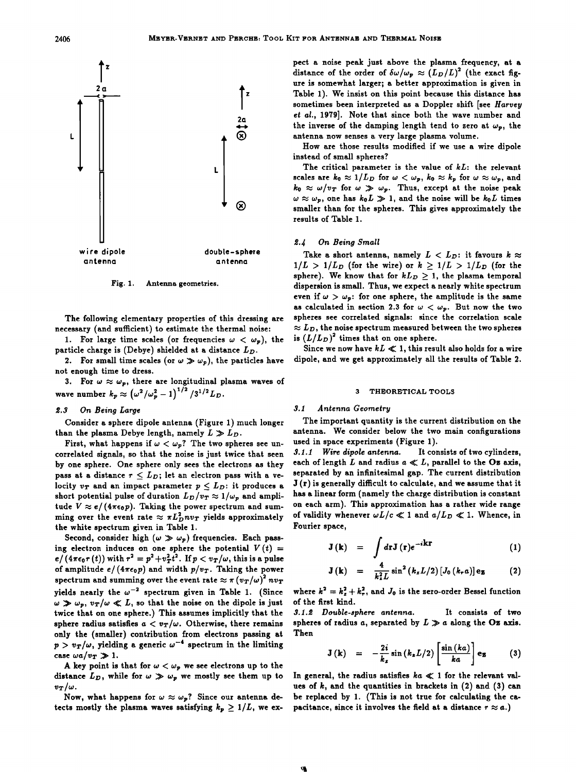

**Fig. 1. Antenna geometries.** 

**The following elementary properties of this dressing are necessary (and sufficient) to estimate the thermal noise:** 

1. For large time scales (or frequencies  $\omega < \omega_p$ ), the **particle charge is (Debye) shielded at a distance** 

**2.** For small time scales (or  $\omega \gg \omega_p$ ), the particles have **not enough time to dress.** 

3. For  $\omega \approx \omega_p$ , there are longitudinal plasma waves of wave number  $k_p \approx (\omega^2/\omega_p^2 - 1)^{1/2} / 3^{1/2} L_D$ .

# **œ.3 On Being Large**

**Consider a sphere dipole antenna (Figure 1) much longer**  than the plasma Debye length, namely  $L \gg L_D$ .

First, what happens if  $\omega < \omega_p$ ? The two spheres see un**correlated signals, so that the noise is just twice that seen by one sphere. One sphere only sees the electrons as they**  pass at a distance  $r \leq L_D$ ; let an electron pass with a velocity  $v_T$  and an impact parameter  $p \leq L_D$ : it produces a short potential pulse of duration  $L_D/v_T \approx 1/\omega_p$  and amplitude  $V \approx e/(4\pi\epsilon_0 p)$ . Taking the power spectrum and summing over the event rate  $\approx \pi L_D^2 n v_T$  yields approximately **the white spectrum given in Table 1.** 

Second, consider high  $(\omega \gg \omega_p)$  frequencies. Each passing electron induces on one sphere the potential  $V(t) =$  $e/(4\pi\epsilon_0r(t))$  with  $r^2=p^2+v_T^2t^2$ . If  $p < v_T/\omega$ , this is a pulse of amplitude  $e/(4\pi\epsilon_0p)$  and width  $p/v_T$ . Taking the power **spectrum and summing over the event rate**  $\approx \pi (v_T/\omega)^2 n v_T$ yields nearly the  $\omega^{-2}$  spectrum given in Table 1. (Since  $\omega \gg \omega_p$ ,  $v_T/\omega \ll L$ , so that the noise on the dipole is just **twice that on one sphere.) This assumes implicitly that the**  sphere radius satisfies  $a < v_T/\omega$ . Otherwise, there remains **only the (smaller) contribution from electrons passing at**   $p > v_T/\omega$ , yielding a generic  $\omega^{-4}$  spectrum in the limiting case  $\omega a/v_T \gg 1$ .

A key point is that for  $\omega < \omega_p$  we see electrons up to the distance  $L_D$ , while for  $\omega \gg \omega_p$  we mostly see them up to  $v_T/\omega$ .

Now, what happens for  $\omega \approx \omega_p$ ? Since our antenna detects mostly the plasma waves satisfying  $k_p \geq 1/L$ , we ex**pect a noise peak just above the plasma frequency, at a**  distance of the order of  $\delta\omega/\omega_p \approx (L_D/L)^2$  (the exact fig**ure is somewhat larger; a better approximation is given in Table 1). We insist on this point because this distance has sometimes been interpreted as a Doppler shift [see Harvey et al., 1979]. Note that since both the wave number and**  the inverse of the damping length tend to zero at  $\omega_p$ , the **antenna now senses a very large plasma volume.** 

**How are those results modified if we use a wire dipole instead of small spheres?** 

**The critical parameter is the value of kL: the relevant**  scales are  $k_0 \approx 1/L_D$  for  $\omega < \omega_p$ ,  $k_0 \approx k_p$  for  $\omega \approx \omega_p$ , and  $k_0 \approx \omega/v_T$  for  $\omega \gg \omega_p$ . Thus, except at the noise peak  $\omega \approx \omega_p$ , one has  $k_0 L \gg 1$ , and the noise will be  $k_0 L$  times **smaller than for the spheres. This gives approximately the results of Table 1.** 

# **œ.4 On Being Small**

Take a short antenna, namely  $L < L_D$ : it favours  $k \approx$  $1/L > 1/L_p$  (for the wire) or  $k > 1/L > 1/L_p$  (for the sphere). We know that for  $kL_p > 1$ , the plasma temporal **dispersion is small. Thus, we expect a nearly white spectrum**  even if  $\omega > \omega_p$ : for one sphere, the amplitude is the same as calculated in section 2.3 for  $\omega < \omega_p$ . But now the two **spheres see correlated signals' since the correlation scale**   $\approx L_D$ , the noise spectrum measured between the two spheres is  $(L/L_D)^2$  times that on one sphere.

Since we now have  $kL \ll 1$ , this result also holds for a wire **dipole, and we get approximately all the results of Table 2.** 

# **3 THEORETICAL TOOLS**

# **3.1 Antenna Geometry**

**The important quantity is the current distribution on the antenna. We consider below the two main configurations used in space experiments (Figure 1).** 

**3.1.1 Wire dipole antenna.** each of length  $L$  and radius  $a \ll L$ , parallel to the Oz axis, **separated by an infinitesimal gap. The current distribution J (r) is generally difficult to calculate, and we assume that it has a linear form (namely the charge distribution is constant on each arm). This approximation has a rather wide range**  of validity whenever  $\omega L/c \ll 1$  and  $a/L_D \ll 1$ . Whence, in **Fourier space,** 

$$
\mathbf{J}(\mathbf{k}) = \int d\mathbf{r} \mathbf{J}(\mathbf{r}) e^{-i\mathbf{k}\mathbf{r}}
$$
 (1)

$$
\mathbf{J}(\mathbf{k}) = \frac{4}{k_z^2 L} \sin^2 (k_z L/2) [J_0(k_r a)] \mathbf{e}_z \qquad (2)
$$

where  $k^2 = k_x^2 + k_y^2$ , and  $J_0$  is the zero-order Bessel function **of the first kind.** 

**3.1.œ Double-sphere antenna. It consists of two**  spheres of radius a, separated by  $L \gg a$  along the **Oz** axis. **Then** 

$$
\mathbf{J}(\mathbf{k}) = -\frac{2i}{k_z}\sin(k_zL/2)\left[\frac{\sin(ka)}{ka}\right]\mathbf{e}_z \qquad (3)
$$

In general, the radius satisfies  $ka \ll 1$  for the relevant val**ues of k, and the quantities in brackets in (2) and (\$) can be replaced by 1. (This is not true for calculating the capacitance, since it involves the field at a distance**  $r \approx a$ **.)**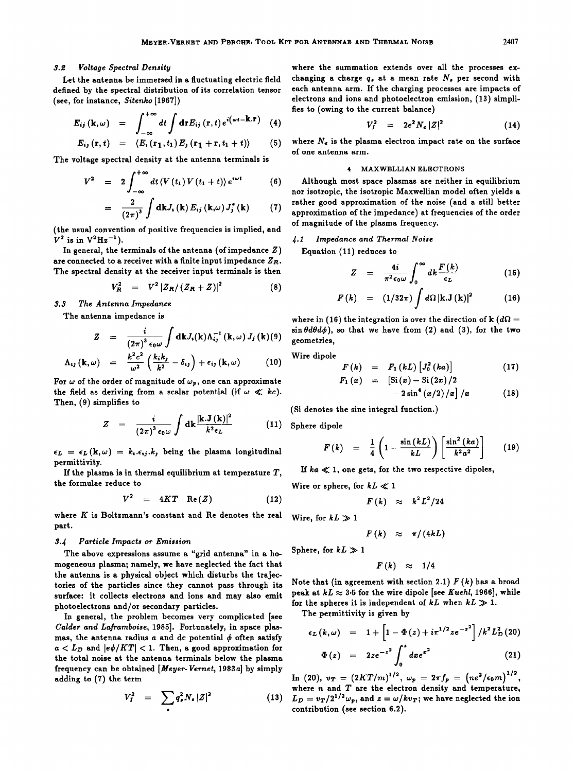# **\$.• Voltage Spectral Density**

**Let the antenna be immersed in a fluctuating electric field defined by the spectral distribution of its correlation tensor (see, for instance, Sitenko [1967])** 

$$
E_{ij}(\mathbf{k},\omega) = \int_{-\infty}^{+\infty} dt \int d\mathbf{r} E_{ij}(\mathbf{r},t) e^{i(\omega t - \mathbf{k}.\mathbf{r})} \quad (4) \qquad V_I^2 = 2e^2
$$

$$
E_{ij}(\mathbf{r},t) = \langle E, (\mathbf{r}_1,t_1) E_j (\mathbf{r}_1+\mathbf{r},t_1+t) \rangle \qquad (5)
$$

**The voltage spectral density at the antenna terminals is** 

$$
V^{2} = 2 \int_{-\infty}^{+\infty} dt \langle V(t_{1}) V(t_{1} + t) \rangle e^{i \omega t}
$$
 (6)

$$
= \frac{2}{(2\pi)^3} \int dk J_i(k) E_{ij} (k,\omega) J_j^* (k) \qquad (7) \quad \frac{r}{a}
$$

**(the usual convention of positive frequencies is implied, and**   $V^2$  is in  $V^2Hz^{-1}$ ).

**In general, the terminals of the antenna (of impedance Z) are connected to a receiver with a finite input impedance Zn. The spectral density at the receiver input terminals is then** 

$$
V_R^2 = V^2 |Z_R/(Z_R + Z)|^2 \tag{8}
$$

**\$.3 The Antenna Impedance** 

**The antenna impedance is** 

$$
Z = \frac{i}{(2\pi)^3 \epsilon_0 \omega} \int \mathrm{d}\mathbf{k} J_i(\mathbf{k}) \Lambda_{ij}^{-1}(\mathbf{k}, \omega) J_j(\mathbf{k})(9)
$$

$$
\Lambda_{ij}(\mathbf{k},\omega) = \frac{k^2c^2}{\omega^2}\left(\frac{k_ik_j}{k^2}-\delta_{ij}\right)+\epsilon_{ij}(\mathbf{k},\omega) \hspace{1cm} (10)
$$

For  $\omega$  of the order of magnitude of  $\omega_p$ , one can approximate the field as deriving from a scalar potential (if  $\omega \ll kc$ ). **Then, (9) simplifies to** 

$$
Z = \frac{i}{(2\pi)^3 \epsilon_0 \omega} \int \mathrm{d}\mathbf{k} \frac{|\mathbf{k}.\mathbf{J}(\mathbf{k})|^2}{k^2 \epsilon_L} \tag{11}
$$

 $\epsilon_L = \epsilon_L(\mathbf{k}, \omega) = k_i \cdot \epsilon_{ij} \cdot k_j$  being the plasma longitudinal **permittivity.** 

**If the plasma is in thermal equilibrium at temperature T, the formulae reduce to** 

$$
V^2 = 4KT \operatorname{Re}(Z) \qquad (12)
$$

**where K is Boltzmann's constant and Re denotes the real part.** 

# **3.4 Particle Impacts or Emission**

**The above expressions assume a "grid antenna" in a homogeneous plasma; namely, we have neglected the fact that the antenna is a physical object which disturbs the trajectories of the particles since they cannot pass through its surface: it collects electrons and ions and may also emit photoelectrons and/or secondary particles.** 

**In general, the problem becomes very complicated [see Calder and Laframboise, 1985]. Fortunately, in space plas**mas, the antenna radius  $a$  and dc potential  $\phi$  often satisfy  $a < L_D$  and  $|e\phi/KT| < 1$ . Then, a good approximation for **the total noise at the antenna terminals below the plasma frequency can be obtained [Meyer-Vernet, 1983a] by simply adding to (7) the term** 

$$
V_I^2 = \sum_{\bullet} q_{\bullet}^2 N_{\bullet} |Z|^2
$$
 (13)

**where the summation extends over all the processes ex**changing a charge  $q_s$ , at a mean rate  $N_s$ , per second with **each antenna arm. If the charging processes are impacts of electrons and ions and photoelectron emission, (13) simplifies to (owing to the current balance)** 

$$
V_I^2 = 2e^2 N_e |Z|^2 \qquad (14)
$$

**where Ne is the plasma electron impact rate on the surface of one antenna arm.** 

# **4 MAXWELLIAN ELECTRONS**

**Although most space plasmas are neither in equilibrium nor isotropic, the isotropic Maxwellian model often yields a rather good approximation of the noise (and a still better approximation of the impedance) at frequencies of the order of magnitude of the plasma frequency.** 

# **J.1 Impedance and Thermal Noise**

**Equation (11) reduces to** 

$$
Z = \frac{4i}{\pi^2 \epsilon_0 \omega} \int_0^\infty dk \frac{F(k)}{\epsilon_L} \qquad (15)
$$

$$
F(k) = (1/32\pi) \int d\Omega |\mathbf{k}.\mathbf{J}(\mathbf{k})|^2 \qquad (16)
$$

where in (16) the integration is over the direction of **k** ( $d\Omega$  =  $\sin \theta d\theta d\phi$ ), so that we have from (2) and (3), for the two **geometries,** 

**Wire dipole** 

$$
F(k) = F_1(kL) [J_0^2(ka)] \qquad (17)
$$
  

$$
F_1(x) = [Si(x) - Si(2x)/2]
$$

$$
-2\sin^4(x/2)/x\Big]/x\qquad \qquad (18)
$$

**(Si denotes the sine integral function.)** 

**Sphere dipole** 

$$
F(k) = \frac{1}{4} \left( 1 - \frac{\sin(kL)}{kL} \right) \left[ \frac{\sin^2(ka)}{k^2 a^2} \right] \qquad (19)
$$

**If ka << 1, one gets, for the two respective dipoles,** 

Wire or sphere, for  $kL \ll 1$ 

$$
F(k) \approx k^2 L^2/24
$$

Wire, for  $kL \gg 1$ 

$$
F(k) \approx \pi/(4kL)
$$

Sphere, for  $kL \gg 1$ 

$$
F(k) \approx 1/4
$$

Note that (in agreement with section 2.1)  $F(k)$  has a broad peak at  $kL \approx 3.5$  for the wire dipole [see *Kuehl*, 1966], while for the spheres it is independent of  $kL$  when  $kL \gg 1$ .

**The permittivity is given by** 

$$
\epsilon_L(k,\omega) = 1 + \left[1 - \Phi(z) + i\pi^{1/2}ze^{-z^2}\right] / k^2 L_D^2(20)
$$

$$
\Phi(z) = 2ze^{-z^2}\int_0 \, dx e^{z^2} \tag{21}
$$

In (20),  $v_T = (2KT/m)^{1/2}$ ,  $\omega_p = 2\pi f_p = (ne^2/\epsilon_0 m)^{1/2}$ , **where n and T are the electron density and temperature,**   $L_D = v_T/2^{1/2}\omega_p$ , and  $z = \omega/kv_T$ ; we have neglected the ion **contribution (see section 6.2).**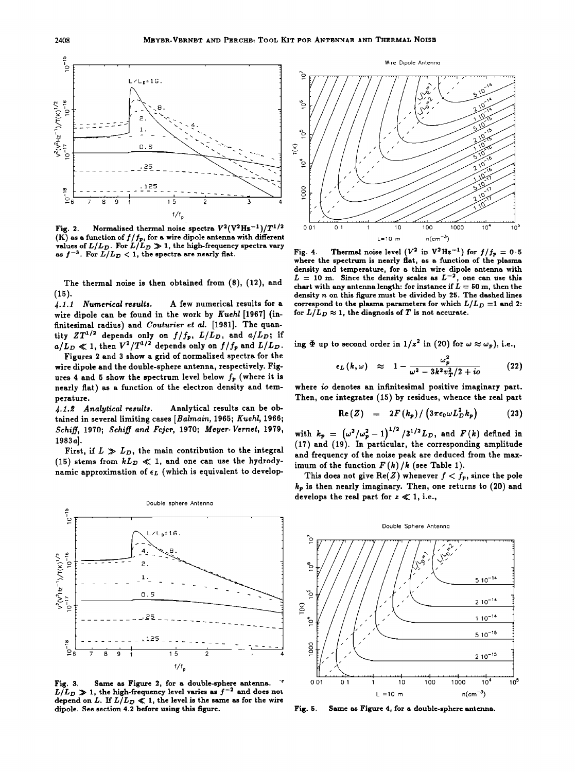

Normalized thermal noise spectra  $V^2(V^2Hz^{-1})/T^{1/2}$ Fig. 2. (K) as a function of  $f/f_p$ , for a wire dipole antenna with different<br>values of  $L/L_D$ . For  $L/L_D \gg 1$ , the high-frequency spectra vary as  $f^{-3}$ . For  $L/L_D < 1$ , the spectra are nearly flat.

The thermal noise is then obtained from (8), (12), and  $(15).$ 

4.1.1 Numerical results. A few numerical results for a wire dipole can be found in the work by Kuehl [1967] (infinitesimal radius) and Couturier et al. [1981]. The quantity  $ZT^{1/2}$  depends only on  $f/f_p$ ,  $L/L_p$ , and  $a/L_p$ ; if<br> $a/L_p \ll 1$ , then  $V^2/T^{1/2}$  depends only on  $f/f_p$  and  $L/L_p$ .

Figures 2 and 3 show a grid of normalized spectra for the wire dipole and the double-sphere antenna, respectively. Figures 4 and 5 show the spectrum level below  $f_p$  (where it is nearly flat) as a function of the electron density and temperature.

Analytical results can be ob-4.1.2 Analytical results. tained in several limiting cases [Balmain, 1965; Kuehl, 1966; Schiff, 1970; Schiff and Fejer, 1970; Meyer-Vernet, 1979, 1983a].

First, if  $L \gg L_D$ , the main contribution to the integral (15) stems from  $kL_D \ll 1$ , and one can use the hydrodynamic approximation of  $\epsilon_L$  (which is equivalent to develop-



Same as Figure 2, for a double-sphere antenna. Fig. 3.  $L/L_D \gg 1$ , the high-frequency level varies as  $f^{-2}$  and does not depend on L. If  $L/L_D \ll 1$ , the level is the same as for the wire dipole. See section 4.2 before using this figure.



Wire Dipole Antenna

Thermal noise level  $(V^2$  in  $V^2Hz^{-1}$  for  $f/f_p = 0.5$ Fig. 4. where the spectrum is nearly flat, as a function of the plasma density and temperature, for a thin wire dipole antenna with  $L = 10$  m. Since the density scales as  $L^{-2}$ , one can use this chart with any antenna length: for instance if  $L = 50$  m, then the density n on this figure must be divided by 25. The dashed lines correspond to the plasma parameters for which  $L/L_D = 1$  and 2: for  $L/L_D \approx 1$ , the diagnosis of T is not accurate.

ing  $\Phi$  up to second order in  $1/z^2$  in (20) for  $\omega \approx \omega_p$ ), i.e.,

$$
\epsilon_L(k,\omega) \approx 1 - \frac{\omega_p^2}{\omega^2 - 3k^2v_T^2/2 + i\sigma} \qquad (22)
$$

where io denotes an infinitesimal positive imaginary part. Then, one integrates (15) by residues, whence the real part

$$
\text{Re}(Z) = 2F(k_p)/\left(3\pi\epsilon_0\omega L_D^2 k_p\right) \tag{23}
$$

with  $k_p = (\omega^2/\omega_p^2 - 1)^{1/2} / 3^{1/2} L_D$ , and  $F(k)$  defined in (17) and (19). In particular, the corresponding amplitude and frequency of the noise peak are deduced from the maximum of the function  $F(k)/k$  (see Table 1).

This does not give Re(Z) whenever  $f < f_p$ , since the pole  $k_p$  is then nearly imaginary. Then, one returns to (20) and develops the real part for  $z \ll 1$ , i.e.,



Same as Figure 4, for a double-sphere antenna. Fig. 5.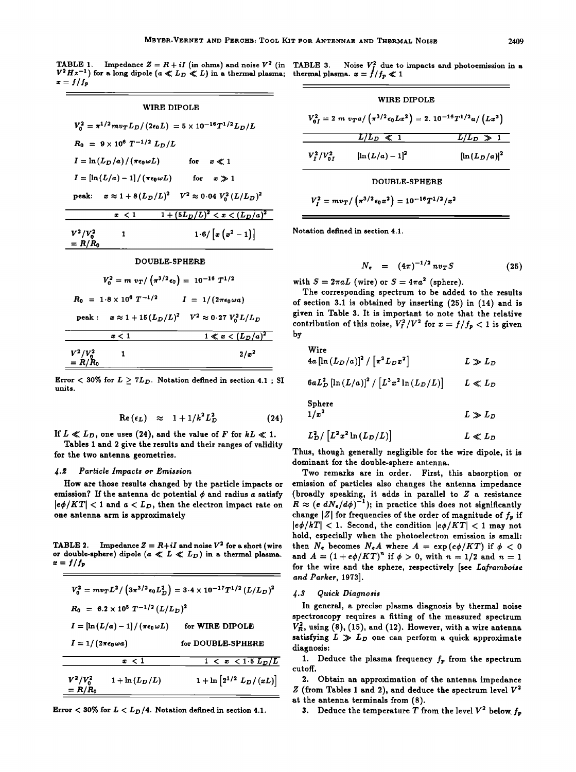**TABLE 1.** impedance  $Z = R + iI$  (in ohms) and noise  $V^*$  (in TABLE 3. Noise  $V_f^*$  due to impacts and photoemission in a  $V^* = R + iI$  (in ohms) and noise  $V^* = R$ .  $V^*Hz^{-1}$  for a long dipole  $(a \ll L_D \ll L)$  in a thermal plasma; thermal plasma.  $x = f/f_p \ll 1$  $\boldsymbol{x} = \boldsymbol{f}/f_{\boldsymbol{p}}$ 



### **DOUBLE-SPHERE**

| $V_0^2 = m v_T / (\pi^{3/2} \epsilon_0) = 10^{-16} T^{1/2}$        |                                   |
|--------------------------------------------------------------------|-----------------------------------|
| $R_0$ = 1.8 × 10 <sup>6</sup> $T^{-1/2}$                           | $I = 1/(2\pi\epsilon_0 \omega a)$ |
| peak : $x \approx 1 + 15 (L_D/L)^2$ $V^2 \approx 0.27 V_0^2 L/L_D$ |                                   |
| x < 1                                                              | $1 \ll x < (L_D/a)^2$             |
| $V^2/V_0^2$<br>= R/R <sub>0</sub>                                  | $2/x^2$                           |

**Error**  $\langle 30\%$  for  $L \geq 7L_D$ . Notation defined in section 4.1 ; SI  $6aL_D^2\left[\ln\left(L/a\right)\right]^2/\left[L^3x^2\ln\left(L_D/L\right)\right]$   $L \ll L_D$ 

$$
\operatorname{Re}(\epsilon_L) \approx 1 + 1/k^2 L_D^2 \qquad (24)
$$

If  $L \ll L_D$ , one uses (24), and the value of F for  $kL \ll 1$ .

**Tables 1 and 2 give the results and their ranges of validity for the two antenna geometries.** 

# **4.œ Particle Impacts or Emission**

**How are those results changed by the particle impacts or**  emission? If the antenna dc potential  $\phi$  and radius  $a$  satisfy  $|e\phi/KT|$  < 1 and  $a < L_D$ , then the electron impact rate on **one antenna arm is approximately** 

**TABLE 2.** Impedance  $Z = R + iI$  and noise  $V^2$  for a short (wire or double-sphere) dipole  $(a \ll L \ll L_D)$  in a thermal plasma.  $x=f/f_p$ 

|                                   |                                                                               | $V_0^2 = m v_T L^2 / \left(3\pi^{3/2} \epsilon_0 L_D^2\right) = 3.4 \times 10^{-17} T^{1/2} \left(L/L_D\right)^2$ |
|-----------------------------------|-------------------------------------------------------------------------------|-------------------------------------------------------------------------------------------------------------------|
|                                   | $R_0 = 6.2 \times 10^5 T^{-1/2} (L/L_D)^2$                                    |                                                                                                                   |
|                                   | $I = \left[\ln\left(L/a\right) - 1\right]/\left(\pi\epsilon_0\omega L\right)$ | for WIRE DIPOLE                                                                                                   |
| $I = 1/(2\pi\epsilon_0 \omega a)$ |                                                                               | for DOUBLE-SPHERE                                                                                                 |
|                                   | x < 1                                                                         | $1 < x < 1.5 L_D/L$                                                                                               |
| $V^2/V_0^2$<br>$= R/R_0$          | $1 + \ln(L_D/L)$                                                              | $1 + \ln \left[ 2^{1/2} L_D / (xL) \right]$                                                                       |

|  |  |  |  |  |  |  |  |  |  |  | Error $<$ 30% for $L < L_D/4$ . Notation defined in section 4.1. |  |
|--|--|--|--|--|--|--|--|--|--|--|------------------------------------------------------------------|--|
|--|--|--|--|--|--|--|--|--|--|--|------------------------------------------------------------------|--|

|                                                                                        | WIRE DIPOLE         |                  |  |  |
|----------------------------------------------------------------------------------------|---------------------|------------------|--|--|
| $V_{0I}^2 = 2 m v_T a / (\pi^{3/2} \epsilon_0 L x^2) = 2.10^{-16} T^{1/2} a / (L x^2)$ |                     |                  |  |  |
|                                                                                        | $L/L_D \ll 1$       | $L/L_D \gg 1$    |  |  |
| $V_{\rm r}^2/V_{\rm o,r}^2$                                                            | $[\ln (L/a) - 1]^2$ | $[\ln(L_D/a)]^2$ |  |  |
|                                                                                        | DOUBLE-SPHERE       |                  |  |  |

$$
V_I^2 = m v_T / (\pi^{3/2} \epsilon_0 x^2) = 10^{-16} T^{1/2} / x^2
$$

**Notation defined in section 4.1.** 

$$
N_e = (4\pi)^{-1/2} n v_T S \qquad (25)
$$

with  $S = 2\pi aL$  (wire) or  $S = 4\pi a^2$  (sphere).

**The corresponding spectrum to be added to the results of section 3.1 is obtained by inserting (25)in (14) and is given in Table 3. It is important to note that the relative**  contribution of this noise,  $V_I^2/V^2$  for  $x = f/f_p < 1$  is given **by** 

\n
$$
\text{Wire} \quad \text{4a} \left[ \ln \left( L_D / a \right) \right]^2 / \left[ \pi^2 L_D x^2 \right] \quad L \gg L_D
$$
\n

\n\n $\text{6a} L_D^2 \left[ \ln \left( L / a \right) \right]^2 / \left[ L^3 x^2 \ln \left( L_D / L \right) \right] \quad L \ll L_D$ \n

\n\n Sphere\n

$$
1/x^2 \hspace{2.6cm} L \gg L_D
$$

$$
L_D^2 / [L^2 x^2 \ln(L_D/L)] \qquad L \ll L_D
$$

**Thus, though generally negligible for the wire dipole, it is dominant for the double-sphere antenna.** 

**Two remarks are in order. First, this absorption or emission of particles also changes the antenna impedance (broadly speaking, it adds in parallel to Z a resistance**   $R \approx (e \ dN_e/d\phi)^{-1}$ ); in practice this does not significantly change  $|Z|$  for frequencies of the order of magnitude of  $f_p$  if  $|e\phi/kT| < 1$ . Second, the condition  $|e\phi/KT| < 1$  may not **hold, especially when the photoelectron emission is small:**  then  $N_e$  becomes  $N_eA$  where  $A = \exp(e\phi/KT)$  if  $\phi < 0$ **and**  $A = (1 + e\phi/KT)^n$  if  $\phi > 0$ , with  $n = 1/2$  and  $n = 1$ **for the wire and the sphere, respectively [see Laframboise and Parker, 1973].** 

# **4.3 Quick Diagnosis**

**In general, a precise plasma diagnosis by thermal noise spectroscopy requires a fitting of the measured spectrum**   $V_R^2$ , using (8), (15), and (12). However, with a wire antenna satisfying  $L \gg L_D$  one can perform a quick approximate **diagnosis:** 

1. Deduce the plasma frequency  $f_p$  from the spectrum **cutoff.** 

**2. Obtain an approximation of the antenna impedance**   $Z$  (from Tables 1 and 2), and deduce the spectrum level  $V^2$ **at the antenna terminals from (8).** 

**3.** Deduce the temperature T from the level  $V^2$  below  $f_p$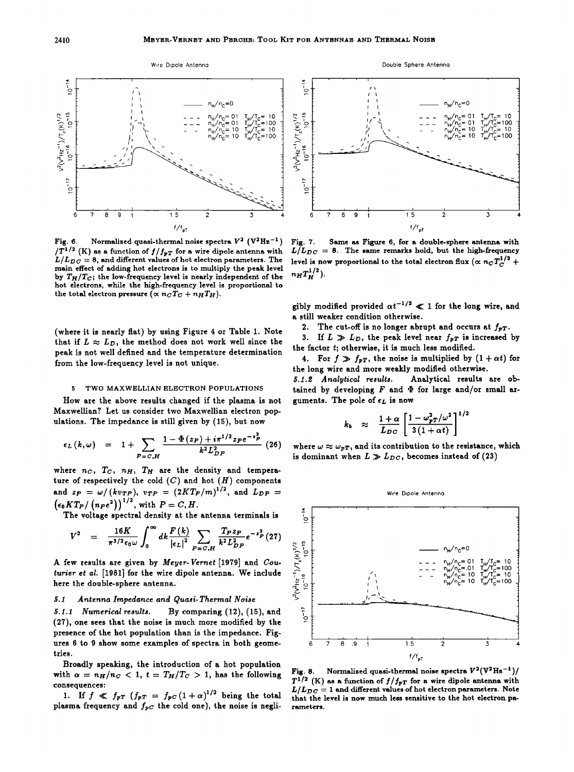

Fig. 6. Normalized quasi-thermal noise spectra  $V^2$  ( $V^2$ Hz<sup>-1</sup>)  $/T^{1/2}$  (K) as a function of  $f/f_{pT}$  for a wire dipole antenna with  $L/L_{DC} = 8$ , and different values of hot electron parameters. The **main effect of adding hot electrons is to multiply the peak level**  by  $T_H/T_C$ ; the low-frequency level is nearly independent of the **hot electrons, while the high-frequency level is proportional to**  the total electron pressure  $(\propto n_C T_C + n_H T_H)$ .

**(where it is nearly flat) by using Figure 4 or Table 1. Note**  that if  $L \approx L_D$ , the method does not work well since the **peak is not well defined and the temperature determination from the low-frequency level is not unique.** 

# **5 TWO MAXWELLIAN ELECTRON POPULATIONS**

**How are the above results changed if the plasma is not**  Maxwellian? Let us consider two Maxwellian electron pop**ulations. The impedance is still given by (15), but now** 

$$
\epsilon_L(k,\omega) = 1 + \sum_{P=C,H} \frac{1 - \Phi(z_P) + i\pi^{1/2} z_P e^{-z_P^2}}{k^2 L_{DP}^2} (26)
$$

where  $n_C$ ,  $T_C$ ,  $n_H$ ,  $T_H$  are the density and tempera**ture of respectively the cold (C) and hot (H) components**  and  $z_P = \omega / (kv_{TP})$ ,  $v_{TP} = (2KT_P/m)^{1/2}$ , and  $L_{DP} =$  $(\epsilon_0 K T_P / (n_P e^2))^{1/2}$ , with  $P = C, H$ .

**The voltage spectral density at the antenna terminals is** 

$$
V^{2} = \frac{16K}{\pi^{3/2} \epsilon_{0} \omega} \int_{0}^{\infty} dk \frac{F(k)}{|\epsilon_{L}|^{2}} \sum_{P=C,H} \frac{T_{P} z_{P}}{k^{2} L_{DP}^{2}} e^{-\epsilon_{P}^{2}} (27)
$$

**A few results are given by Meyer-Vernet [1979] and Couturier et al. [1981] for the wire dipole antenna. We include here the double-sphere antenna.** 

# **5.1 Antenna Impedance and Quasi-Thermal Noise**

**5.1.1 Numerical results. By comparing (12), (15), and (27), one sees that the noise is much more modified by the presence of the hot population than is the impedance. Figures 6 to 9 show some examples of spectra in both geometries.** 

**Broadly speaking, the introduction of a hot population**  with  $\alpha = n_H/n_C < 1$ ,  $t = T_H/T_C > 1$ , has the following **consequences:** 

1. If  $f \ll f_{pT}$   $(f_{pT} = f_{pC}(1+\alpha)^{1/2}$  being the total plasma frequency and  $f_{pC}$  the cold one), the noise is negli-



**Double Sphere Antenno** 

**Fig. 7. Same as Figure 6, for a double-sphere antenna with**   $L/L_{DC}$  = 8. The same remarks hold, but the high-frequency level is now proportional to the total electron flux ( $\propto n_{C}T_{C}^{1/2}$  +  $n_H T_H^{1/2}$ 

gibly modified provided  $\alpha t^{-1/2} \ll 1$  for the long wire, and **a still weaker condition otherwise.** 

2. The cut-off is no longer abrupt and occurs at  $f_{\text{PT}}$ .

3. If  $L \gg L_D$ , the peak level near  $f_{pT}$  is increased by **the factor t; otherwise, it is much less modified.** 

4. For  $f \gg f_{PT}$ , the noise is multiplied by  $(1 + \alpha t)$  for **the long wire and more weakly modified otherwise. 5.1.œ Analytical results. Analytical results are ob-**

tained by developing  $F$  and  $\Phi$  for large and/or small arguments. The pole of  $\epsilon_L$  is now

$$
k_b \approx \frac{1+\alpha}{L_{DC}} \left[ \frac{1-\omega_{pT}^2/\omega^2}{3(1+\alpha t)} \right]^{1/2}
$$

where  $\omega \approx \omega_{pT}$ , and its contribution to the resistance, which is dominant when  $L \gg L_{DC}$ , becomes instead of (23)



Fig. 8. Normalized quasi-thermal noise spectra  $V^2(V^2Hz^{-1})/$  $T^{1/2}$  (K) as a function of  $f/f_{pT}$  for a wire dipole antenna with  $L/L_{DC} = 1$  and different values of hot electron parameters. Note **that the level is now much less sensitive to the hot electron parameters.**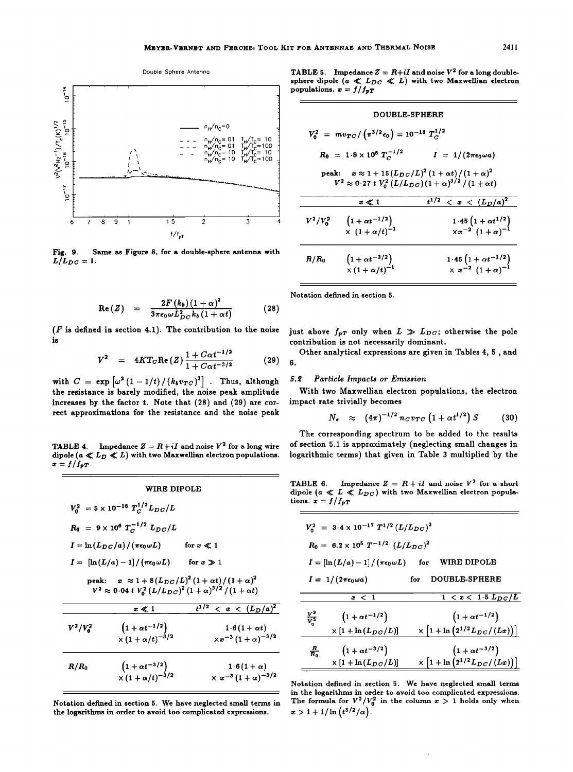

Fig. 9. Same as Figure 8, for a double-sphere antenna with  $L/L_{DC}=1.$ 

$$
\text{Re}(Z) = \frac{2F(k_b)(1+\alpha)^2}{3\pi\epsilon_0\omega L_{BC}^2k_b(1+\alpha t)} \tag{28}
$$

( $F$  is defined in section 4.1). The contribution to the noise is

$$
V^{2} = 4KT_{C} \text{Re}(Z) \frac{1 + C\alpha t^{-1/2}}{1 + C\alpha t^{-3/2}}
$$
 (29)

with  $C = \exp \left[\omega^2 (1 - 1/t)/(k_b v_{TC})^2\right]$ . Thus, although the resistance is barely modified, the noise peak amplitude increases by the factor  $t$ . Note that  $(28)$  and  $(29)$  are correct approximations for the resistance and the noise peak

**TABLE 4.** Impedance  $Z = R + iI$  and noise  $V^2$  for a long wire dipole  $(a \ll L_D \ll L)$  with two Maxwellian electron populations.  $x = f/f_{pT}$ 

### **WIRE DIPOLE**

|             | $V_0^2 = 5 \times 10^{-16} T_C^{1/2} L_{DC}/L$                                |                                                                       |
|-------------|-------------------------------------------------------------------------------|-----------------------------------------------------------------------|
|             | $R_0$ = $9 \times 10^6 T_C^{-1/2} L_{DC}/L$                                   |                                                                       |
|             | $I = \ln(L_{DC}/a)/(\pi\epsilon_0 \omega L)$                                  | for $x \ll 1$                                                         |
|             | $I = \left[\ln\left(L/a\right) - 1\right]/\left(\pi\epsilon_0\omega L\right)$ | for $x \gg 1$                                                         |
|             | peak: $x \approx 1 + 8(L_{DC}/L)^2 (1 + \alpha t)/(1 + \alpha)^2$             | $V^2 \approx 0.04 t V_0^2 (L/L_{DC})^2 (1+\alpha)^{3/2}/(1+\alpha t)$ |
|             | $x \ll 1$                                                                     | $t^{1/2}$<br>$\langle x \rangle \langle (L_D/a)^2 \rangle$            |
| $V^2/V_0^2$ | $\frac{\left(1+\alpha t^{-1/2}\right)}{\times\left(1+\alpha/t\right)^{-3/2}}$ | $1.6(1 + \alpha t)$<br>$\times x^{-3} (1+\alpha)^{-3/2}$              |
| $R/R_0$     | $\frac{\left(1+\alpha t^{-3/2}\right)}{\times\left(1+\alpha/t\right)^{-3/2}}$ | $1.6(1+\alpha)$<br>$\times x^{-3} (1+\alpha)^{-3/2}$                  |

Notation defined in section 5. We have neglected small terms in the logarithms in order to avoid too complicated expressions.

**TABLE 5.** Impedance  $Z = R + iI$  and noise  $V^2$  for a long doublesphere dipole  $(a \ll L_{DC} \ll L)$  with two Maxwellian electron populations.  $x = f/f_{pT}$ 

|             | <b>DOUBLE-SPHERE</b>                                          |                                                                                                                                              |
|-------------|---------------------------------------------------------------|----------------------------------------------------------------------------------------------------------------------------------------------|
|             | $V_0^2 = mv_{TC}/(\pi^{3/2} \epsilon_0) = 10^{-16} T_C^{1/2}$ |                                                                                                                                              |
|             | $R_0$ = 1.8 x 10 <sup>6</sup> $T_C^{-1/2}$                    | $I = 1/(2\pi\epsilon_0 \omega a)$                                                                                                            |
|             |                                                               | peak: $x \approx 1 + 15 (L_{DC}/L)^2 (1 + \alpha t)/(1 + \alpha)^2$<br>$V^2 \approx 0.27 t V_0^2 (L/L_{DC}) (1+\alpha)^{3/2} / (1+\alpha t)$ |
|             | $x \ll 1$                                                     | $t^{1/2}$<br>$\langle x \rangle \langle (L_D/a)^2 \rangle$                                                                                   |
| $V^2/V_0^2$ | $(1 + \alpha t^{-1/2})$<br>$x (1 + \alpha/t)^{-1}$            | $1.45(1 + \alpha t^{1/2})$<br>$x x^{-2} (1 + \alpha)^{-1}$                                                                                   |
| $R/R_0$     | $(1 + \alpha t^{-3/2})$<br>$\times (1 + \alpha/t)^{-1}$       | $1.45(1 + \alpha t^{-1/2})$<br>$\times x^{-2} (1+\alpha)^{-1}$                                                                               |

Notation defined in section 5.

just above  $f_{pT}$  only when  $L \gg L_{DC}$ ; otherwise the pole contribution is not necessarily dominant.

Other analytical expressions are given in Tables 4, 5, and 6.

#### $5.2\,$ Particle Impacts or Emission

With two Maxwellian electron populations, the electron impact rate trivially becomes

$$
N_e \approx (4\pi)^{-1/2} n_C v_{TC} (1 + \alpha t^{1/2}) S \qquad (30)
$$

The corresponding spectrum to be added to the results of section 5.1 is approximately (neglecting small changes in logarithmic terms) that given in Table 3 multiplied by the

Impedance  $Z = R + iI$  and noise  $V^2$  for a short TABLE 6. dipole ( $a \ll L \ll L_{DC}$ ) with two Maxwellian electron populations.  $x = f/f_{pT}$ 

|                   | $V_0^2$ = 3.4 × 10 <sup>-17</sup> $T^{1/2}$ $(L/L_{DC})^2$<br>$R_0 = 6.2 \times 10^5 T^{-1/2} (L/L_{DC})^2$ |     |                                                                                                        |
|-------------------|-------------------------------------------------------------------------------------------------------------|-----|--------------------------------------------------------------------------------------------------------|
|                   |                                                                                                             |     |                                                                                                        |
|                   | $I = \left[\ln\left(L/a\right) - 1\right]/\left(\pi\epsilon_0\omega L\right)$ for                           |     | WIRE DIPOLE                                                                                            |
|                   | $I = 1/(2\pi\epsilon_0\omega a)$                                                                            | for | <b>DOUBLE-SPHERE</b>                                                                                   |
|                   | $x \ < \ 1$                                                                                                 |     | $1 < x < 1.5 L_{DC}/L$                                                                                 |
|                   |                                                                                                             |     |                                                                                                        |
|                   |                                                                                                             |     |                                                                                                        |
| $\frac{V^2}{V^2}$ | $(1 + \alpha t^{-1/2})$                                                                                     |     | $(1 + \alpha t^{-1/2})$                                                                                |
|                   | $\times [1 + \ln(L_{DC}/L)]$                                                                                |     | $\times \left[1+\ln \left(2^{1/2}L_{DC}/\left(Lx\right)\right)\right]$                                 |
| 룺.                | $(1 + \alpha t^{-3/2})$                                                                                     |     | $\left(1+\alpha t^{-3/2}\right) \ \times \left[1+\ln\left(2^{1/2}L_{DC}/\left(Lx\right)\right)\right]$ |

Notation defined in section 5. We have neglected small terms in the logarithms in order to avoid too complicated expressions.<br>The formula for  $V^2/V_0^2$  in the column  $x > 1$  holds only when  $x > 1 + 1/\ln(t^{3/2}/\alpha).$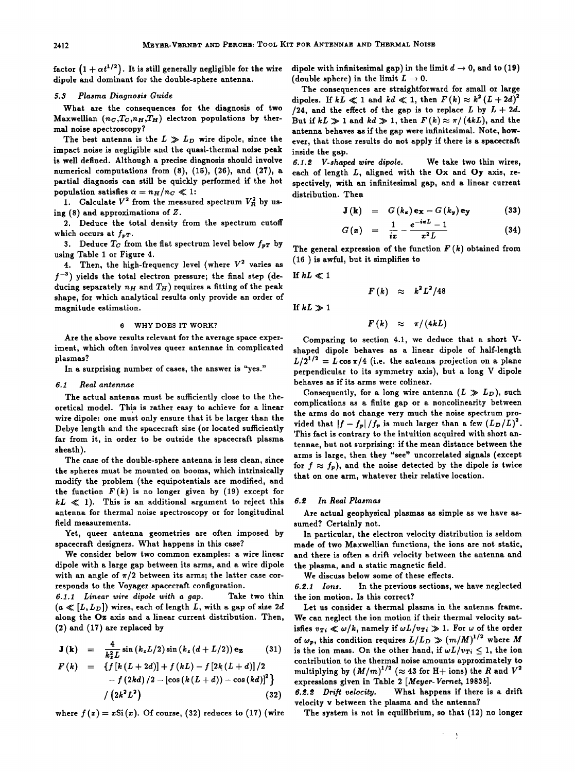**factor**  $(1 + \alpha t^{1/2})$ . It is still generally negligible for the wire **dipole and dominant for the double-sphere antenna.** 

# **\$.\$ Plasma Diagnosis Guide**

**What are the consequences for the diagnosis of two**  Maxwellian  $(n_C, T_C, n_H, T_H)$  electron populations by ther**mal noise spectroscopy?** 

The best antenna is the  $L \gg L_D$  wire dipole, since the **impact noise is negligible and the quasi-thermal noise peak is well defined. Although a precise diagnosis should involve numerical computations from (8), (15), (26), and (27), a partial diagnosis can still be quickly performed if the hot**  population satisfies  $\alpha = n_H/n_C \ll 1$ :

1. Calculate  $V^2$  from the measured spectrum  $V^2$ <sub>R</sub> by us**ing (8) and approximations of Z.** 

**2. Deduce the total density from the spectrum cutoff**  which occurs at  $f_{\boldsymbol{v}T}$ .

**3.** Deduce  $T_C$  from the flat spectrum level below  $f_{pT}$  by **using Table 1 or Figure 4.** 

**4.** Then, the high-frequency level (where  $V^2$  varies as **f-s) yields the total electron pressure; the final step (de**ducing separately  $n_H$  and  $T_H$ ) requires a fitting of the peak **shape, for which analytical results only provide an order of magnitude estimation.** 

# **6 WHY DOES IT WORK?**

**Are the above results relevant for the average space experiment, which often involves queer antennae in complicated plasmas?** 

**In a surprising number of cases, the answer is "yes."** 

# **6.1** Real antennae

**The actual antenna must be sufficiently close to the theoretical model. This is rather easy to achieve for a linear wire dipole: one must only ensure that it be larger than the Debye length and the spacecraft size (or located sufficiently far from it, in order to be outside the spacecraft plasma sheath).** 

**The case of the double-sphere antenna is less clean, since the spheres must be mounted on booms, which intrinsically modify the problem (the equipotentials are modified, and**  the function  $F(k)$  is no longer given by (19) except for  $kL \ll 1$ ). This is an additional argument to reject this **antenna for thermal noise spectroscopy or for longitudinal field measurements.** 

**Yet, queer antenna geometries are often imposed by spacecraft designers. What happens in this case?** 

**We consider below two common examples: a wire linear dipole with a large gap between its arms, and a wire dipole**  with an angle of  $\pi/2$  between its arms; the latter case cor-

**responds to the Voyager spacecraft configuration.**<br>**6.1.1** Linear wire dipole with a gap. Take two thin **6.1.1 Linear wire dipole with a gap.**  $(a \ll [L, L_D])$  wires, each of length L, with a gap of size 2d **along the Oz axis and a linear current distribution. Then, (2) and (17) are replaced by** 

$$
\mathbf{J}(\mathbf{k}) = \frac{4}{k_z^2 L} \sin (k_z L/2) \sin (k_z (d + L/2)) \mathbf{e_z}
$$
 (31)

$$
F(k) = \{f[k(L+2d)] + f(kL) - f[2k(L+d)]/2 - f(2kd)/2 - [\cos(k(L+d)) - \cos(kd)]^2\}
$$
  

$$
/ (2k^2L^2)
$$
 (32)

where  $f(x) = xSi(x)$ . Of course, (32) reduces to (17) (wire

dipole with infinitesimal gap) in the limit  $d \rightarrow 0$ , and to (19) (double sphere) in the limit  $L \rightarrow 0$ .

**The consequences are straightforward for small or large**  dipoles. If  $kL \ll 1$  and  $kd \ll 1$ , then  $F(k) \approx k^2 (L + 2d)^2$ /24, and the effect of the gap is to replace  $L$  by  $L + 2d$ . But if  $kL \gg 1$  and  $kd \gg 1$ , then  $F(k) \approx \pi/(4kL)$ , and the **antenna behaves as if the gap were infinitesimal. Note, however, that those results do not apply if there is a spacecraft inside the gap.** 

**6.1.œ V-shaped wire dipole. We take two thin wires, each of length L, aligned with the Ox and Oy axis, respectively, with an infinitesimal gap, and a linear current distribution. Then** 

$$
\mathbf{J}(\mathbf{k}) = G(k_x) \mathbf{e}_x - G(k_y) \mathbf{e}_y \qquad (33)
$$

$$
G(x) = \frac{1}{ix} - \frac{e^{-ixL} - 1}{x^2L}
$$
 (34)

The general expression of the function  $F(k)$  obtained from **(16) is awful, but it simplifies to** 

If  $kL \ll 1$ 

$$
F(k) \approx k^2 L^2/48
$$

$$
If kL \gg 1
$$

$$
F(k) \approx \pi/(4kL)
$$

**Comparing to section 4.1, we deduce that a short Vshaped dipole behaves as a linear dipole of half-length**   $L/2^{1/2} = L \cos \pi/4$  (i.e. the antenna projection on a plane **perpendicular to its symmetry axis), but a long V dipole behaves as if its arms were colinear.** 

Consequently, for a long wire antenna  $(L \gg L_D)$ , such **complications as a finite gap or a noncolinearity between the arms do not change very much the noise spectrum pro**vided that  $|f-f_p|/f_p$  is much larger than a few  $(L_D/L)^2$ . **This fact is contrary to the intuition acquired with short antennae, but not surprising: if the mean distance between the arms is large, then they "see" uncorrelated signals (except**  for  $f \approx f_p$ ), and the noise detected by the dipole is twice **that on one arm, whatever their relative location.** 

# **6.œ In Real Plasmas**

**Are actual geophysical plasmas as simple as we have assumed? Certainly not.** 

**In particular, the electron velocity distribution is seldom**  made of two Maxwellian functions, the ions are not static, **and there is often a drift velocity between the antenna and the plasma, and a static magnetic field.** 

**We discuss below some of these effects.** 

**6.œ.1 Ions. In the previous sections, we have neglected the ion motion. Is this correct?** 

**Let us consider a thermal plasma in the antenna frame. We can neglect the ion motion if their thermal velocity sat**isfies  $v_{Ti} \ll \omega/k$ , namely if  $\omega L/v_{Ti} \gg 1$ . For  $\omega$  of the order of  $\omega_p$ , this condition requires  $L/L_D \gg (m/M)^{1/2}$  where M is the ion mass. On the other hand, if  $\omega L/v_{Ti} \leq 1$ , the ion **contribution to the thermal noise amounts approximately to**  multiplying by  $(M/m)^{1/2}$  ( $\approx$  43 for H+ ions) the R and  $V^2$ **expressions given in Table 2 [Meyer-Vernet, 1983b].** 

What happens if there is a drift **velocity v between the plasma and the antenna?** 

**The system is not in equilibrium, so that (12) no longer** 

À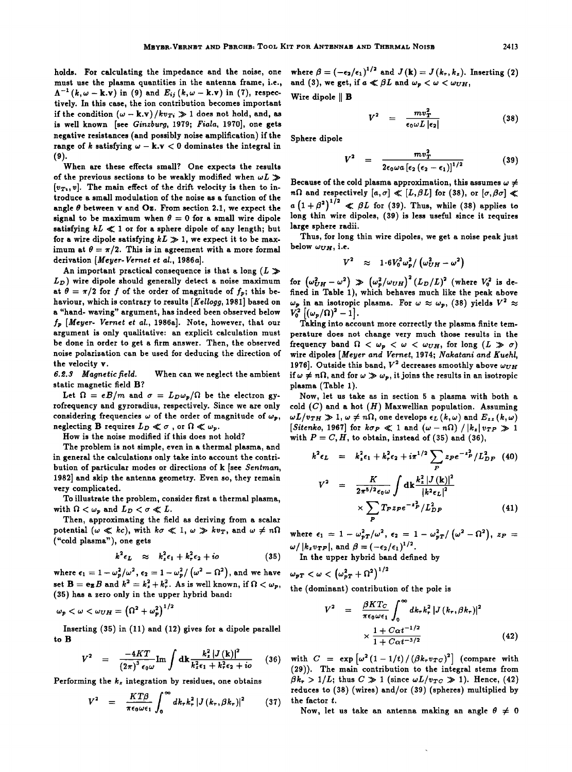**holds. For calculating the impedance and the noise, one must use the plasma quantities in the antenna frame, i.e.,**   $\Lambda^{-1}$   $(k, \omega - k \cdot v)$  in (9) and  $E_{ij}$   $(k, \omega - k \cdot v)$  in (7), respec**tively. In this case, the ion contribution becomes important**  if the condition  $(\omega - \mathbf{k}.\mathbf{v})/kv_{Ti} \gg 1$  does not hold, and, as **is well known [see Ginzburg, 1979; Fiala, 1970], one gets negative resistances (and possibly noise amplification) if the range of k satisfying**  $\omega - \mathbf{k} \cdot \mathbf{v} < 0$  **dominates the integral in (9).** 

**When are these effects small? One expects the results**  of the previous sections to be weakly modified when  $\omega L \gg$  $[v_T, v]$ . The main effect of the drift velocity is then to in**troduce a small modulation of the noise as a function of the**  angle  $\theta$  between **v** and **Oz**. From section 2.1, we expect the signal to be maximum when  $\theta = 0$  for a small wire dipole satisfying  $kL \ll 1$  or for a sphere dipole of any length; but for a wire dipole satisfying  $kL \gg 1$ , we expect it to be maximum at  $\theta = \pi/2$ . This is in agreement with a more formal **derivation [Meyer-Vernet et al., 1986a].** 

An important practical consequence is that a long  $(L \gg$ **Lv) wire dipole should generally detect a noise maximum**  at  $\theta = \pi/2$  for f of the order of magnitude of  $f_p$ ; this be**haviour, which is contrary to results [Kellogg, 1981] based on a "hand- waving" argument, has indeed been observed below f•, [Meyer- Vernet et al., 1986a]. Note, however, that our argument is only qualitative: an explicit calculation must be done in order to get a firm answer. Then, the observed noise polarization can be used for deducing the direction of**  the velocity **v**.<br>6.2.3 Magnetic field.

When can we neglect the ambient **static magnetic field B?** 

Let  $\Omega = eB/m$  and  $\sigma = L_D \omega_p/\Omega$  be the electron gy**rofrequency and gyroradius, respectively. Since we are only**  considering frequencies  $\omega$  of the order of magnitude of  $\omega_p$ , neglecting **B** requires  $L_p \ll \sigma$ , or  $\Omega \ll \omega_p$ .

**How is the noise modified if this does not hold?** 

**The problem is not simple, even in a thermal plasma, and in general the calculations only take into account the contribution of particular modes or directions of k [see Sentman, 1982] and skip the antenna geometry. Even so, they remain very complicated.** 

**To illustrate the problem, consider first a thermal plasma,**  with  $\Omega < \omega_p$  and  $L_D < \sigma \ll L$ .

**Then, approximating the field as deriving from a scalar**  potential  $(\omega \ll kc)$ , with  $k\sigma \ll 1$ ,  $\omega \gg kv_T$ , and  $\omega \neq n\Omega$ **("cold plasma"), one gets** 

$$
k^2 \epsilon_L \approx k_z^2 \epsilon_1 + k_r^2 \epsilon_2 + i \sigma \qquad (35)
$$

where  $\epsilon_1 = 1-\omega_p^2/\omega^2$ ,  $\epsilon_2 = 1-\omega_p^2/\left(\omega^2-\Omega^2\right)$ , and we have set  $\mathbf{B} = \mathbf{e_z}B$  and  $k^2 = k_z^2 + k_r^2$ . As is well known, if  $\Omega < \omega_p$ , **(35) has a zero only in the upper hybrid band:** 

$$
\omega_p < \omega < \omega_{UH} = \left(\Omega^2 + \omega_p^2\right)^{1/2}
$$

**Inserting (35)in (11) and (12) gives for a dipole parallel to B** 

$$
V^{2} = \frac{-4KT}{(2\pi)^{3}\epsilon_{0}\omega} \text{Im} \int \mathrm{d}\mathbf{k} \frac{k_{z}^{2} |J(\mathbf{k})|^{2}}{k_{z}^{2}\epsilon_{1} + k_{r}^{2}\epsilon_{2} + i\omega} \quad (36)
$$

**Performing the kz integration by residues, one obtains** 

$$
V^2 = \frac{KT\beta}{\pi\epsilon_0\omega\epsilon_1}\int_0^\infty dk_r k_r^2 |J(k_r,\beta k_r)|^2 \qquad (37)
$$

where  $\beta = (-\epsilon_2/\epsilon_1)^{1/2}$  and  $J(k) = J(k_r, k_z)$ . Inserting (2) and (3), we get, if  $a \ll \beta L$  and  $\omega_p < \omega < \omega_{UH}$ ,

**Wire dipole II B** 

$$
V^2 = \frac{mv_T^2}{\epsilon_0 \omega L |\epsilon_2|} \tag{38}
$$

**Sphere dipole** 

$$
V^{2} = \frac{m v_T^{2}}{2\epsilon_0 \omega a \left[\epsilon_2 \left(\epsilon_2 - \epsilon_1\right)\right]^{1/2}}
$$
(39)

Because of the cold plasma approximation, this assumes  $\omega \neq$ *n* $\Omega$  and respectively  $[a, \sigma] \ll [L, \beta L]$  for (38), or  $[\sigma, \beta \sigma] \ll$  $a\left(1+\beta^2\right)^{1/2} \ll \beta L$  for (39). Thus, while (38) applies to **long thin wire dipoles, (39) is less useful since it requires large sphere radii.** 

**Thus, for long thin wire dipoles, we get a noise peak just below WVH, i.e.** 

$$
V^2 \approx 1.6 V_0^2 \omega_p^2 / (\omega_{UH}^2 - \omega^2)
$$

for  $(\omega_{UH}^2 - \omega^2) \gg (\omega_p^2/\omega_{UH})^2 (L_D/L)^2$  (where  $V_0^2$  is defined in Table 1), which behaves much like the peak above  $\omega_p$  in an isotropic plasma. For  $\omega \approx \omega_p$ , (38) yields  $V^2 \approx V_0^2 \left[ (\omega_p/\Omega)^2 - 1 \right]$ .

Taking into account more correctly the plasma finite tem**perature does not change very much those results in the**  frequency band  $\Omega$  <  $\omega_p$  <  $\omega$  <  $\omega_{UH}$ , for long  $(L \gg \sigma)$ wire dipoles [Meyer and Vernet, 1974; Nakatani and Kuehl, 1976]. Outside this band,  $V^2$  decreases smoothly above  $\omega_{UH}$ if  $\omega \neq n\Omega$ , and for  $\omega \gg \omega_p$ , it joins the results in an isotropic **p!asm• (T•ble 1).** 

Now, let us take as in section 5 a plasma with both a cold  $(C)$  and a hot  $(H)$  Maxwellian population. Assuming  $\omega L/v_{TH} \gg 1, \omega \neq n\Omega$ , one develops  $\epsilon_L(k,\omega)$  and  $E_{zz}(k,\omega)$ <br>[Sitenko, 1967] for  $k\sigma_P \ll 1$  and  $(\omega - n\Omega) / |k_z| v_{TP} \gg 1$ with  $P = C, H$ , to obtain, instead of (35) and (36),

$$
k^2 \epsilon_L = k_z^2 \epsilon_1 + k_r^2 \epsilon_2 + i \pi^{1/2} \sum_P z_P e^{-z_P^2} / L_{DP}^2
$$
 (40)

$$
V^{2} = \frac{K}{2\pi^{5/2}\epsilon_{0}\omega} \int \mathrm{d}\mathbf{k} \frac{k_{z}^{2} |J(\mathbf{k})|^{2}}{|k^{2}\epsilon_{L}|^{2}} \times \sum_{P} T_{P} z_{P} e^{-z_{P}^{2}} / L_{DP}^{2}
$$
(41)

where  $\epsilon_1 = 1 - \omega_{pT}^2/\omega^2$ ,  $\epsilon_2 = 1 - \omega_{pT}^2/(\omega^2 - \Omega^2)$ ,  $z_P = \omega/|k_z v_{TP}|$ , and  $\beta = (-\epsilon_2/\epsilon_1)^{1/2}$ .

**In the upper hybrid band defined by** 

$$
\omega_{pT}<\omega<\left(\omega_{pT}^2+\Omega^2\right)^{1/2}
$$

**the (dominant) contribution of the pole is** 

$$
V^{2} = \frac{\beta KT_{C}}{\pi \epsilon_{0} \omega \epsilon_{1}} \int_{0}^{\infty} dk_{r} k_{r}^{2} |J(k_{r}, \beta k_{r})|^{2} \times \frac{1 + C \alpha t^{-1/2}}{1 + C \alpha t^{-3/2}}
$$
(42)

with  $C = \exp \left[\omega^2 (1 - 1/t) / (\beta k_r v_{TC})^2\right]$  (compare with **(29)). The main contribution to the integral stems from**   $\beta k_r > 1/L$ ; thus  $C \gg 1$  (since  $\omega L/v_{TC} \gg 1$ ). Hence, (42) **reduces to (38) (wires) and/or (39) (spheres) multiplied by the factor t.** 

Now, let us take an antenna making an angle  $\theta \neq 0$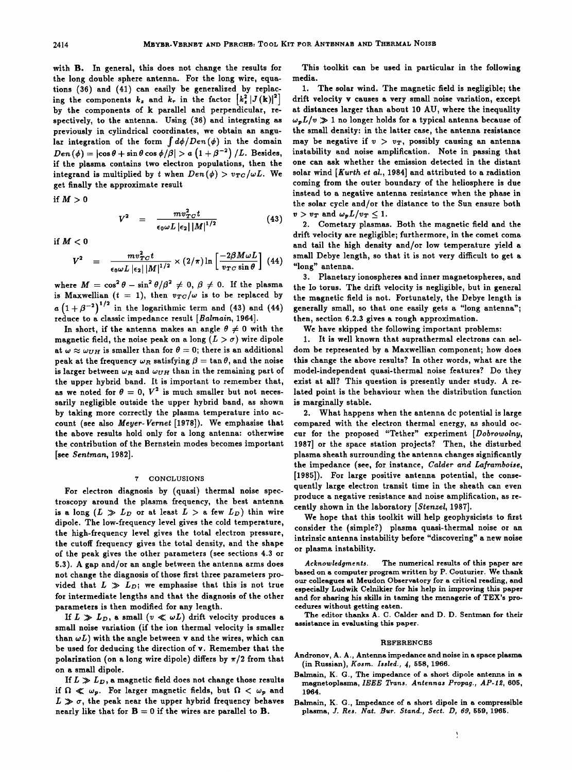**with B. In general, this does not change the results for the long double sphere antenna. For the long wire, equations (36) and (41) can easily be generalized by replac**ing the components  $k_z$  and  $k_r$  in the factor  $\left[k_z^2 | J(\mathbf{k})|^2\right]$ **by the components of k parallel and perpendicular, respectively, to the antenna. Using (36) and integrating as previously in cylindrical coordinates, we obtain an angu**lar integration of the form  $\int d\phi/Den(\phi)$  in the domain  $Den(\phi) = |\cos \theta + \sin \theta \cos \phi / \beta| > a (1 + \beta^{-2}) / L$ . Besides, **if the plasma contains two electron populations, then the**  integrand is multiplied by t when  $Den(\phi) > v_{TC}/\omega L$ . We **get finally the approximate result** 

if  $M>0$ 

$$
V^{2} = \frac{m v_{TC}^{2} t}{\epsilon_{0} \omega L |\epsilon_{2}| |M|^{1/2}}
$$
 (43)  $v$ 

if  $M < 0$ 

$$
V^{2} = \frac{m v_{TC}^{2} t}{\epsilon_{0} \omega L |\epsilon_{2}| |M|^{1/2}} \times (2/\pi) \ln \left[\frac{-2\beta M \omega L}{v_{TC} \sin \theta}\right] (44) \quad \stackrel{\text{sm}}{=}.
$$

where  $M = \cos^2 \theta - \sin^2 \theta / \beta^2 \neq 0$ ,  $\beta \neq 0$ . If the plasma is Maxwellian  $(t = 1)$ , then  $v_{TC}/\omega$  is to be replaced by  $a\left(1+\beta^{-2}\right)^{1/2}$  in the logarithmic term and (43) and (44) **reduce to a classic impedance result [Balmain, 1964].** 

In short, if the antenna makes an angle  $\theta \neq 0$  with the **magnetic field, the noise peak on a long**  $(L > \sigma)$  **wire dipole** at  $\omega \approx \omega_{UH}$  is smaller than for  $\theta = 0$ ; there is an additional **peak at the frequency**  $\omega_R$  **satisfying**  $\beta = \tan \theta$ **, and the noise** is larger between  $\omega_R$  and  $\omega_{HH}$  than in the remaining part of **the upper hybrid band. It is important to remember that,**  as we noted for  $\theta = 0$ ,  $V^2$  is much smaller but not neces**sarily negligible outside the upper hybrid band, as shown by taking more correctly the plasma temperature into account (see also Meyer-Vernet [1978]). We emphasise that the above results hold only for a long antenna: otherwise the contribution of the Bernstein modes becomes important [see Sentman, 1982].** 

### **7 CONCLUSIONS**

**For electron diagnosis by (quasi) thermal noise spectroscopy around the plasma frequency, the best antenna**  is a long  $(L \gg L_D)$  or at least  $L > a$  few  $L_D$ ) thin wire **dipole. The low-frequency level gives the cold temperature, the high-frequency level gives the total electron pressure, the cutoff frequency gives the total density, and the shape of the peak gives the other parameters (see sections 4.3 or 5.3). A gap and/or an angle between the antenna arms does not change the diagnosis of those first three parameters pro**vided that  $L \gg L_D$ ; we emphasise that this is not true **for intermediate lengths and that the diagnosis of the other parameters is then modified for any length.** 

If  $L \gg L_D$ , a small  $(v \ll \omega L)$  drift velocity produces a **small noise variation (if the ion thermal velocity is smaller**  than  $\omega L$ ) with the angle between **v** and the wires, which can **be used for deducing the direction of v. Remember that the**  polarization (on a long wire dipole) differs by  $\pi/2$  from that **on a small dipole.** 

If  $L \gg L_D$ , a magnetic field does not change those results if  $\Omega \ll \omega_p$ . For larger magnetic fields, but  $\Omega \ll \omega_p$  and  $L \gg \sigma$ , the peak near the upper hybrid frequency behaves nearly like that for  $B = 0$  if the wires are parallel to **B**.

**This toolkit can be used in particular in the following media.** 

**1. The solar wind. The magnetic field is negligible; the drift velocity v causes a very small noise variation, except at distances larger than about 10 AU, where the inequality**   $\omega_p L/v \gg 1$  no longer holds for a typical antenna because of **the small density: in the latter case, the antenna resistance**  may be negative if  $v > v_T$ , possibly causing an antenna **instability and noise amplification. Note in passing that one can ask whether the emission detected in the distant solar wind [Kurth et al., 1984] and attributed to a radiation coming from the outer boundary of the heliosphere is due instead to a negative antenna resistance when the phase in the solar cycle and/or the distance to the Sun ensure both**   $v > v_T$  and  $\omega_p L/v_T < 1$ .

**2. Cometary plasmas. Both the magnetic field and the drift velocity are negligible; furthermore, in the comet coma and tail the high density and/or low temperature yield a small Debye length, so that it is not very difficult to get a "long" antenna.** 

**3. Planetary ionospheres and inner magnetospheres, and the Io torus. The drift velocity is negligible, but in general the magnetic field is not. Fortunately, the Debye length is generally small, so that one easily gets a "long antenna"; then, section 6.2.3 gives a rough approximation.** 

**We have skipped the following important problems:** 

**1. It is well known that suprathermal electrons can seldom be represented by a Maxwellian component; how does this change the above results? In other words, what are the model-independent quasi-thermal noise features? Do they exist at all? This question is presently under study. A related point is the behaviour when the distribution function is marginally stable.** 

**2. What happens when the antenna dc potential is large compared with the electron thermal energy, as should oc**cur for the proposed "Tether" experiment [Dobrowolny, **1987] or the space station projects? Then, the disturbed plasma sheath surrounding the antenna changes significantly the impedance (see, for instance, Calder and Lafrarnboise, [1985]). For large positive antenna potential, the consequently large electron transit time in the sheath can even produce a negative resistance and noise amplification, as recently shown in the laboratory [Stenzel, 1987].** 

**We hope that this toolkit will help geophysicists to first**  consider the (simple?) plasma quasi-thermal noise or an **intrinsic antenna instability before "discovering" a new noise or plasma instability.** 

**Acknowledgments. The numerical results of this paper are based on a computer program written by P. Couturier. We thank our colleagues at Meudon Observatory for a critical reading, and especially Ludwik Celnikier for his help in improving this paper and for sharing his skills in taming the menagerie of TEX's procedures without getting eaten.** 

**The editor thanks A. C. Calder and D. D. Sentman for their assistance in evaluating this paper.** 

#### **REFERENCES**

- **Andronov, A. A., Antenna impedance and noise in a space plasma (in Russian), Kosrn. Issled., 4, 558, 1966.**
- **Balmain, K. G., The impedance of a short dipole antenna in a**  magnetoplasma, IEEE Trans. Antennas Propag., AP-12, 605, **1964.**
- **Balmain, K. G., Impedance of a short dipole in a compressible plasma, J. Res. Nat. Bur. Stand., Sect. D, 69, 559, 1965.**